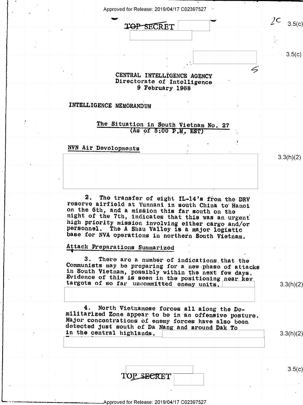

## INTELLIGENCE MEMORANDUM

The Situation in South Vietnam No. 27  $(As of 5:00 P.W. EST)$ 

NVN Air Devolopments

The transfer of eight IL-14's from the DRV 2. reserve airfield at Yunnani in south China to Hanoi on the 6th, and a mission this far south on the night of the 7th, indicates that this was an urgent high priority mission involving either cargo and/or personnel. The A Shau Valley is a major logistic base for NVA operations in northern South Vietnam.

## Attack Preparations Summarized

3. There are a number of indications that the Communists may be preparing for a new phase of attacks in South Vietnam, possibly within the next few days.<br>Evidence of this is seen in the positioning near key targets of so far uncommitted enemy units,

 $3.3(h)(2)$ 

 $3.3(h)(2)$ 

4. North Vietnamese forces all along the Domilitarized Zone appear to be in an offensive posture. Major concentrations of enemy forces have also been detected just south of Da Nang and around Dak To in the central highlands.

TOP SECRET

 $3.5(c)$ 

 $3.3(h)(2)$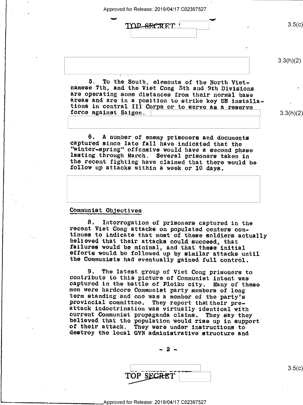Approved for Release: 2019/04/17 C02397527

TOP SECRET 3.5(c)

I . -

 $3.3(h)(2)$ 

 $3.3(h)(2)$ 

n

,

5. To the South, elements of the North Viet-<br>namese 7th, and the Viet Cong 5th and 9th Divisions<br>are operating some distances from their normal base<br>areas and are in a position to strike key US installa-<br>tions in contral I force against Saigon. \

6. A number of enemy prisoners and documents<br>captured since late fall have indicated that the<br>"winter-spring" offensive would have a second phase<br>lasting through March. Several prisoners taken in<br>the recent fighting have c

## Communist Objectives

B. Interrogation of prisoners captured in the<br>recent Viet Cong attacks on populated centers con-<br>tinues to indicate that most of these soldiers actually<br>believed that their attacks could succeed, that<br>failures would be min Y

9. The latest group of Viet Cong prisoners to<br>contribute to this picture of Communist intent was<br>captured in the battle of Ploiku city. Many of these<br>men were hardcore Communist party members of long<br>term standing and one

 $2 -$ 

TOP SECRET

 $\frac{1}{\sqrt{2}}$  s.5( $\sigma$ )